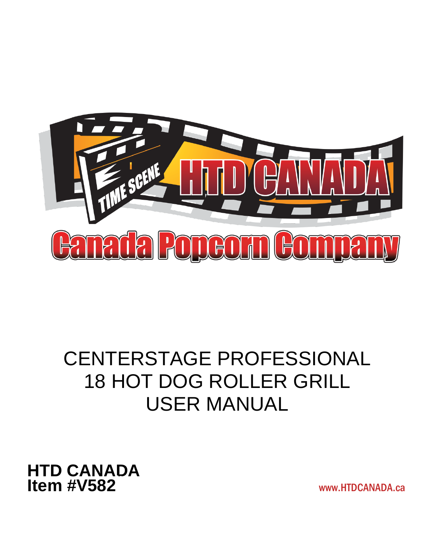

# CENTERSTAGE PROFESSIONAL 18 HOT DOG ROLLER GRILL USER MANUAL

**HTD CANADA Item #V582 Itema** # *V* 73

www.HTDCANADA.ca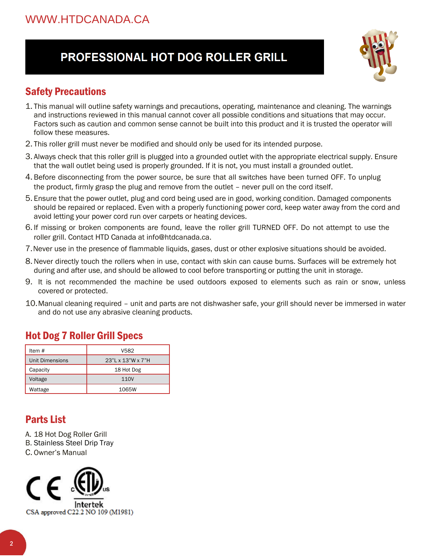## PROFESSIONAL HOT DOG ROLLER GRILL



#### Safety Precautions

- 1. This manual will outline safety warnings and precautions, operating, maintenance and cleaning. The warnings and instructions reviewed in this manual cannot cover all possible conditions and situations that may occur. Factors such as caution and common sense cannot be built into this product and it is trusted the operator will follow these measures.
- 2. This roller grill must never be modified and should only be used for its intended purpose.
- 3. Always check that this roller grill is plugged into a grounded outlet with the appropriate electrical supply. Ensure that the wall outlet being used is properly grounded. If it is not, you must install a grounded outlet.
- 4. Before disconnecting from the power source, be sure that all switches have been turned OFF. To unplug the product, firmly grasp the plug and remove from the outlet – never pull on the cord itself.
- 5. Ensure that the power outlet, plug and cord being used are in good, working condition. Damaged components should be repaired or replaced. Even with a properly functioning power cord, keep water away from the cord and avoid letting your power cord run over carpets or heating devices.
- 6. If missing or broken components are found, leave the roller grill TURNED OFF. Do not attempt to use the roller grill. Contact HTD Canada at info@htdcanada.ca.
- 7.Never use in the presence of flammable liquids, gases, dust or other explosive situations should be avoided.
- 8. Never directly touch the rollers when in use, contact with skin can cause burns. Surfaces will be extremely hot during and after use, and should be allowed to cool before transporting or putting the unit in storage.
- 9. It is not recommended the machine be used outdoors exposed to elements such as rain or snow, unless covered or protected.
- 10.Manual cleaning required unit and parts are not dishwasher safe, your grill should never be immersed in water and do not use any abrasive cleaning products.

#### Hot Dog 7 Roller Grill Specs

| Item #          | V582              |
|-----------------|-------------------|
| Unit Dimensions | 23"L x 13"W x 7"H |
| Capacity        | 18 Hot Dog        |
| Voltage         | 110V              |
| Wattage         | 1065W             |

## Parts List

- A. 18 Hot Dog Roller Grill
- B. Stainless Steel Drip Tray
- C. Owner's Manual

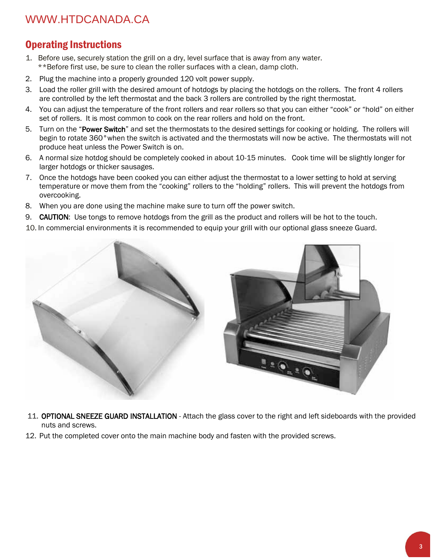## WWW.HTDCANADA.CA

#### Operating Instructions

- 1. Before use, securely station the grill on a dry, level surface that is away from any water. \*\*Before first use, be sure to clean the roller surfaces with a clean, damp cloth.
- 2. Plug the machine into a properly grounded 120 volt power supply.
- 3. Load the roller grill with the desired amount of hotdogs by placing the hotdogs on the rollers. The front 4 rollers are controlled by the left thermostat and the back 3 rollers are controlled by the right thermostat.
- 4. You can adjust the temperature of the front rollers and rear rollers so that you can either "cook" or "hold" on either set of rollers. It is most common to cook on the rear rollers and hold on the front.
- 5. Turn on the "Power Switch" and set the thermostats to the desired settings for cooking or holding. The rollers will begin to rotate 360°when the switch is activated and the thermostats will now be active. The thermostats will not produce heat unless the Power Switch is on.
- 6. A normal size hotdog should be completely cooked in about 10-15 minutes. Cook time will be slightly longer for larger hotdogs or thicker sausages.
- 7. Once the hotdogs have been cooked you can either adjust the thermostat to a lower setting to hold at serving temperature or move them from the "cooking" rollers to the "holding" rollers. This will prevent the hotdogs from overcooking.
- 8. When you are done using the machine make sure to turn off the power switch.
- 9. CAUTION: Use tongs to remove hotdogs from the grill as the product and rollers will be hot to the touch.
- 10. In commercial environments it is recommended to equip your grill with our optional glass sneeze Guard.



- 11. OPTIONAL SNEEZE GUARD INSTALLATION Attach the glass cover to the right and left sideboards with the provided nuts and screws.
- 12. Put the completed cover onto the main machine body and fasten with the provided screws.